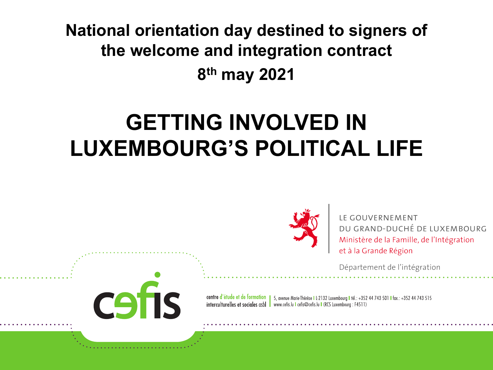**National orientation day destined to signers of the welcome and integration contract 8th may 2021**

## **GETTING INVOLVED IN LUXEMBOURG'S POLITICAL LIFE**

CS

IS



LE GOUVERNEMENT DU GRAND-DUCHÉ DE LUXEMBOURG Ministère de la Famille, de l'Intégration et à la Grande Région

Département de l'intégration

centre d'étude et de formation | 5, avenue Marie Thérèse | L2132 Luxembourg | tél.: +352 44 743 501 | fax.: +352 44 743 515 interculturelles et sociales asbl vww.cefis.lu Lefis@cefis.lu L(RCS Luxembourg : F4511)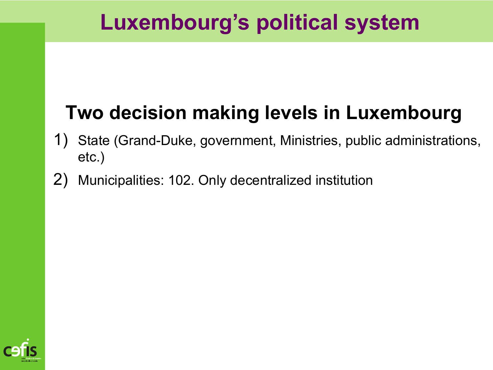## **Luxembourg's political system**

## **Two decision making levels in Luxembourg**

- 1) State (Grand-Duke, government, Ministries, public administrations, etc.)
- 2) Municipalities: 102. Only decentralized institution

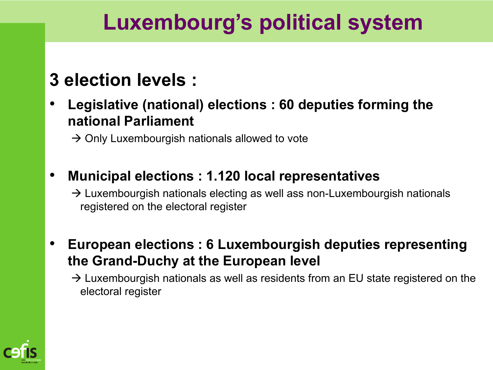## **Luxembourg's political system**

### **3 election levels :**

• **Legislative (national) elections : 60 deputies forming the national Parliament**

 $\rightarrow$  Only Luxembourgish nationals allowed to vote

• **Municipal elections : 1.120 local representatives**

 $\rightarrow$  Luxembourgish nationals electing as well ass non-Luxembourgish nationals registered on the electoral register

- **European elections : 6 Luxembourgish deputies representing the Grand-Duchy at the European level**
	- $\rightarrow$  Luxembourgish nationals as well as residents from an EU state registered on the electoral register

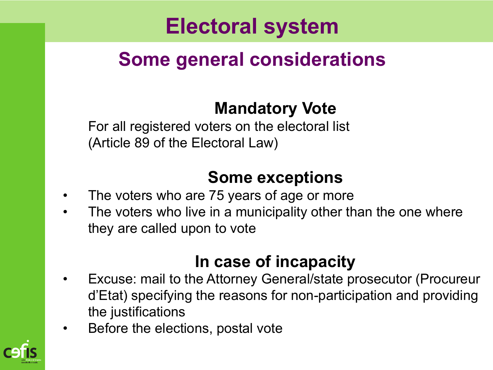## **Electoral system**

### **Some general considerations**

### **Mandatory Vote**

For all registered voters on the electoral list (Article 89 of the Electoral Law)

### **Some exceptions**

- The voters who are 75 years of age or more
- The voters who live in a municipality other than the one where they are called upon to vote

### **In case of incapacity**

- Excuse: mail to the Attorney General/state prosecutor (Procureur d'Etat) specifying the reasons for non-participation and providing the justifications
- Before the elections, postal vote

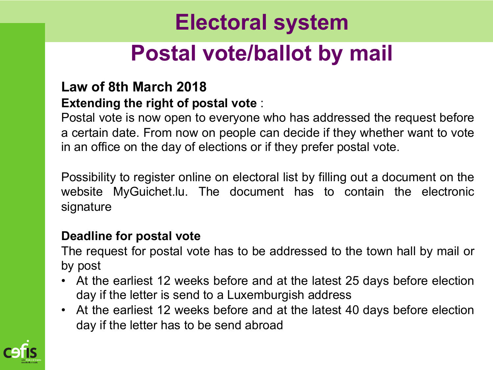## **Electoral system Postal vote/ballot by mail**

#### **Law of 8th March 2018 Extending the right of postal vote** :

Postal vote is now open to everyone who has addressed the request before a certain date. From now on people can decide if they whether want to vote in an office on the day of elections or if they prefer postal vote.

Possibility to register online on electoral list by filling out a document on the website MyGuichet.lu. The document has to contain the electronic signature

#### **Deadline for postal vote**

The request for postal vote has to be addressed to the town hall by mail or by post

- At the earliest 12 weeks before and at the latest 25 days before election day if the letter is send to a Luxemburgish address
- At the earliest 12 weeks before and at the latest 40 days before election day if the letter has to be send abroad

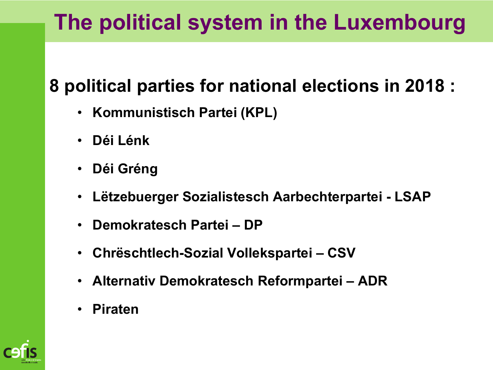## **The political system in the Luxembourg**

### **8 political parties for national elections in 2018 :**

- **Kommunistisch Partei (KPL)**
- **Déi Lénk**
- **Déi Gréng**
- **Lëtzebuerger Sozialistesch Aarbechterpartei - LSAP**
- **Demokratesch Partei – DP**
- **Chrëschtlech-Sozial Vollekspartei – CSV**
- **Alternativ Demokratesch Reformpartei – ADR**
- **Piraten**

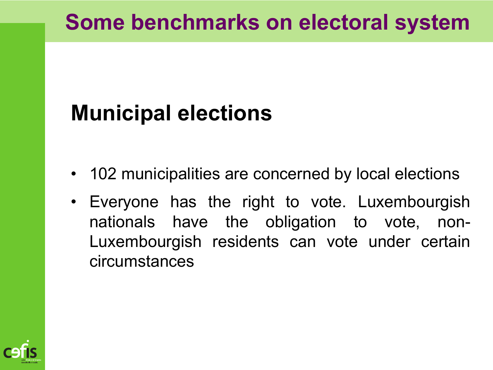## **Some benchmarks on electoral system**

## **Municipal elections**

- 102 municipalities are concerned by local elections
- Everyone has the right to vote. Luxembourgish nationals have the obligation to vote, non-Luxembourgish residents can vote under certain circumstances

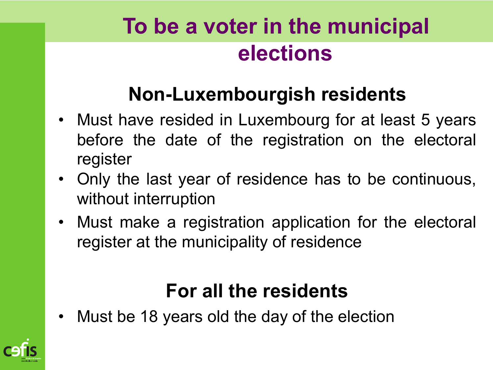## **To be a voter in the municipal elections**

## **Non-Luxembourgish residents**

- Must have resided in Luxembourg for at least 5 years before the date of the registration on the electoral register
- Only the last year of residence has to be continuous, without interruption
- Must make a registration application for the electoral register at the municipality of residence

### **For all the residents**

Must be 18 years old the day of the election

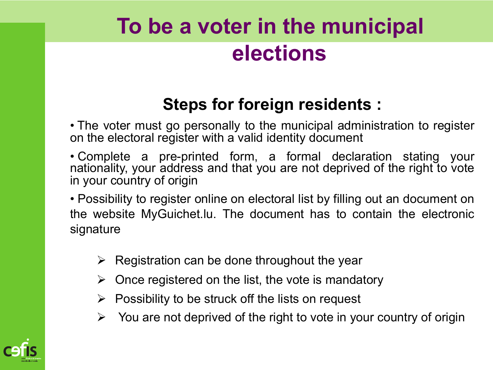## **To be a voter in the municipal elections**

### **Steps for foreign residents :**

• The voter must go personally to the municipal administration to register on the electoral register with a valid identity document

• Complete a pre-printed form, a formal declaration stating your nationality, your address and that you are not deprived of the right to vote in your country of origin

• Possibility to register online on electoral list by filling out an document on the website MyGuichet.lu. The document has to contain the electronic signature

- $\triangleright$  Registration can be done throughout the year
- $\triangleright$  Once registered on the list, the vote is mandatory
- $\triangleright$  Possibility to be struck off the lists on request
- $\triangleright$  You are not deprived of the right to vote in your country of origin

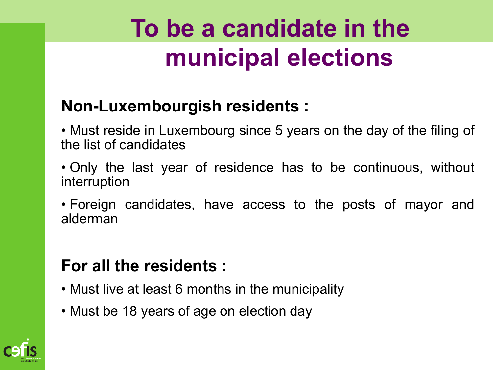# **To be a candidate in the municipal elections**

### **Non-Luxembourgish residents :**

• Must reside in Luxembourg since 5 years on the day of the filing of the list of candidates

- Only the last year of residence has to be continuous, without interruption
- Foreign candidates, have access to the posts of mayor and alderman

### **For all the residents :**

- Must live at least 6 months in the municipality
- Must be 18 years of age on election day

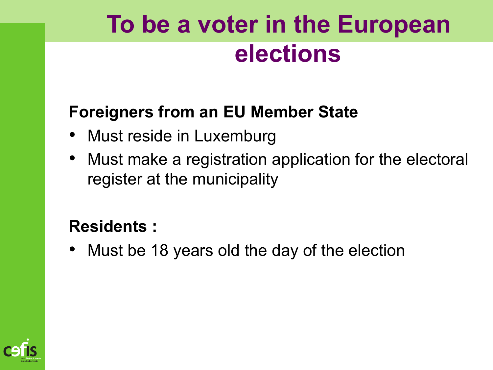# **To be a voter in the European elections**

### **Foreigners from an EU Member State**

- Must reside in Luxemburg
- Must make a registration application for the electoral register at the municipality

#### **Residents :**

• Must be 18 years old the day of the election

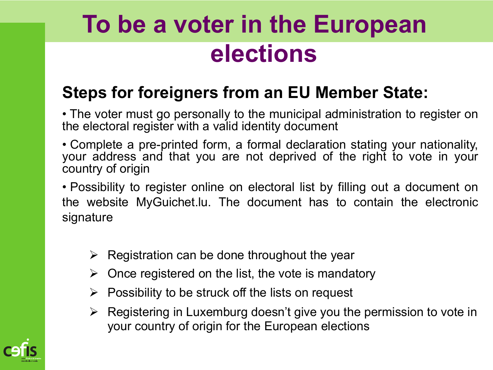# **To be a voter in the European elections**

### **Steps for foreigners from an EU Member State:**

• The voter must go personally to the municipal administration to register on the electoral register with a valid identity document

• Complete a pre-printed form, a formal declaration stating your nationality, your address and that you are not deprived of the right to vote in your country of origin

• Possibility to register online on electoral list by filling out a document on the website MyGuichet.lu. The document has to contain the electronic signature

- $\triangleright$  Registration can be done throughout the year
- $\triangleright$  Once registered on the list, the vote is mandatory
- $\triangleright$  Possibility to be struck off the lists on request
- $\triangleright$  Registering in Luxemburg doesn't give you the permission to vote in your country of origin for the European elections

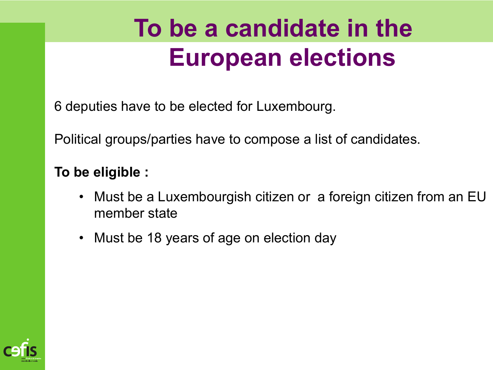# **To be a candidate in the European elections**

6 deputies have to be elected for Luxembourg.

Political groups/parties have to compose a list of candidates.

#### **To be eligible :**

- Must be a Luxembourgish citizen or a foreign citizen from an EU member state
- Must be 18 years of age on election day

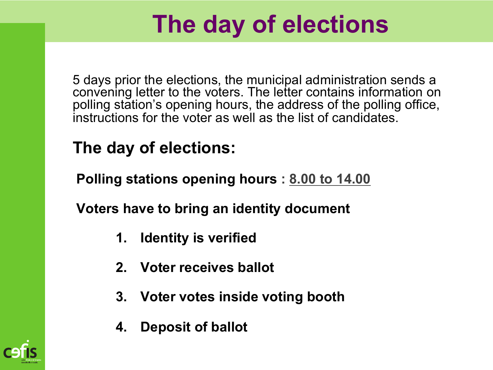# **The day of elections**

5 days prior the elections, the municipal administration sends a convening letter to the voters. The letter contains information on polling station's opening hours, the address of the polling office, instructions for the voter as well as the list of candidates.

### **The day of elections:**

**Polling stations opening hours : 8.00 to 14.00**

**Voters have to bring an identity document**

- **1. Identity is verified**
- **2. Voter receives ballot**
- **3. Voter votes inside voting booth**
- **4. Deposit of ballot**

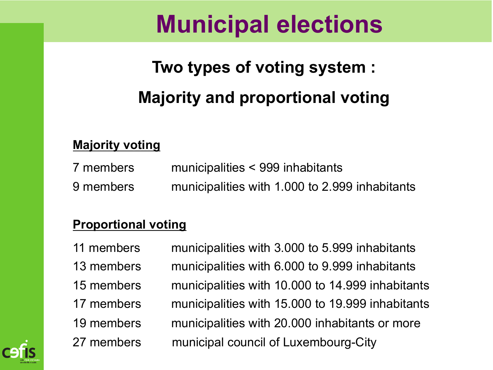## **Municipal elections**

## **Two types of voting system : Majority and proportional voting**

#### **Majority voting**

7 members municipalities < 999 inhabitants 9 members municipalities with 1.000 to 2.999 inhabitants

#### **Proportional voting**

11 members municipalities with 3.000 to 5.999 inhabitants 13 members municipalities with 6.000 to 9.999 inhabitants 15 members municipalities with 10.000 to 14.999 inhabitants 17 members municipalities with 15.000 to 19.999 inhabitants 19 members municipalities with 20.000 inhabitants or more 27 members municipal council of Luxembourg-City

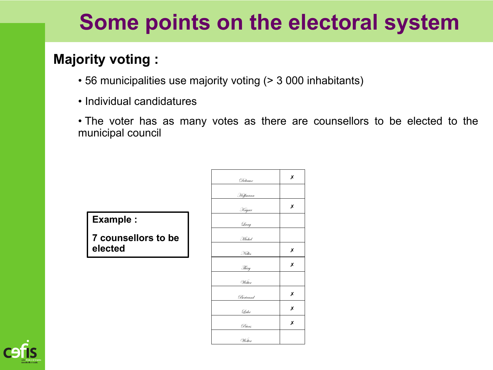#### **Majority voting :**

- 56 municipalities use majority voting (> 3 000 inhabitants)
- Individual candidatures
- The voter has as many votes as there are counsellors to be elected to the municipal council

**Example :** 

**7 counsellors to be elected**

| Delvaux  | Х |
|----------|---|
| Hoffmann |   |
| Kayser   | Х |
| Lang     |   |
| Michel   |   |
| Nelles   | Х |
| Thiry    | Х |
| Wetter   |   |
| Bertrand | Х |
| Lahr     | Х |
| Peters   | X |
| Wolter   |   |

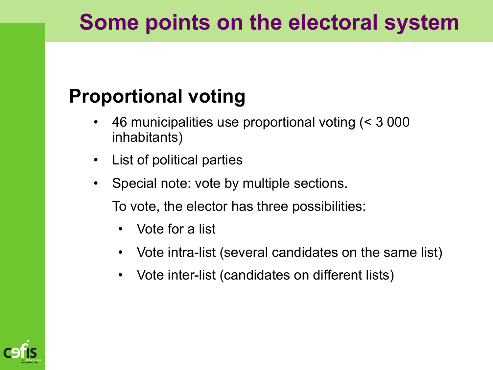### **Proportional voting**

- 46 municipalities use proportional voting (< 3 000 inhabitants)
- List of political parties
- Special note: vote by multiple sections.

To vote, the elector has three possibilities:

- Vote for a list
- Vote intra-list (several candidates on the same list)
- Vote inter-list (candidates on different lists)

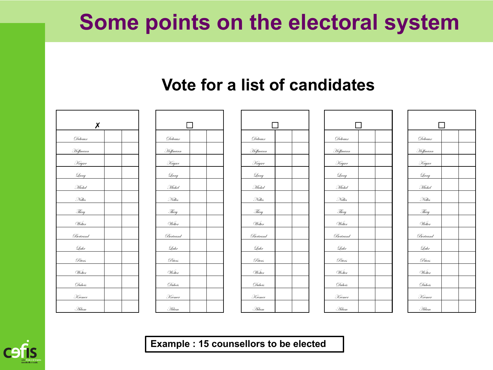#### **Vote for a list of candidates**





| ΙI           |  |
|--------------|--|
| Delvaux      |  |
| Hoffmann     |  |
| Kayser       |  |
| Qang         |  |
| Michel       |  |
| Nelles       |  |
| <u>Thiry</u> |  |
| Welter       |  |
| Bertrand     |  |
| Lahr         |  |
| Peters       |  |
| Wolter       |  |
| Dubois       |  |
| Kremer       |  |
| . Filam      |  |

|                 | $\Box$ |  |
|-----------------|--------|--|
| Delvaux         |        |  |
| Hoffmann        |        |  |
| Kayser          |        |  |
| Qang            |        |  |
| Michel          |        |  |
| Nelles          |        |  |
| Thiry           |        |  |
| Wetter          |        |  |
| <u>Bertrand</u> |        |  |
| Lahr            |        |  |
| <u>Peters</u>   |        |  |
| Wolter          |        |  |
| Dubois          |        |  |
| Kremer          |        |  |
| Gdam            |        |  |

| П             |  |  |  |  |  |  |  |  |  |  |  |
|---------------|--|--|--|--|--|--|--|--|--|--|--|
| Delvaux       |  |  |  |  |  |  |  |  |  |  |  |
| Hoffmann      |  |  |  |  |  |  |  |  |  |  |  |
| Kayser        |  |  |  |  |  |  |  |  |  |  |  |
| Qang          |  |  |  |  |  |  |  |  |  |  |  |
| Michel        |  |  |  |  |  |  |  |  |  |  |  |
| Nelles        |  |  |  |  |  |  |  |  |  |  |  |
| Thiry         |  |  |  |  |  |  |  |  |  |  |  |
| Welter        |  |  |  |  |  |  |  |  |  |  |  |
| Bertrand      |  |  |  |  |  |  |  |  |  |  |  |
| Lahr          |  |  |  |  |  |  |  |  |  |  |  |
| <u>Peters</u> |  |  |  |  |  |  |  |  |  |  |  |
| Wolter        |  |  |  |  |  |  |  |  |  |  |  |
| Dubois        |  |  |  |  |  |  |  |  |  |  |  |
| Kremer        |  |  |  |  |  |  |  |  |  |  |  |
| . Fidam       |  |  |  |  |  |  |  |  |  |  |  |

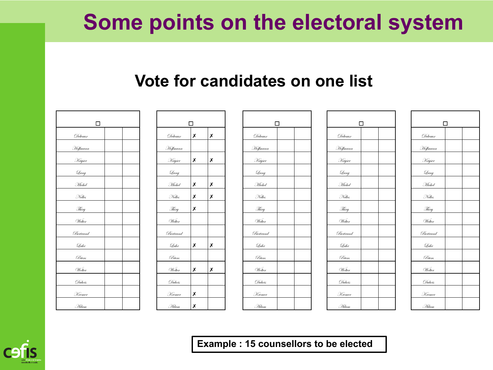#### **Vote for candidates on one list**

| $\Box$       |  | $\Box$   |   | $\Box$ |              | $\Box$ |             |          |
|--------------|--|----------|---|--------|--------------|--------|-------------|----------|
|              |  |          |   |        |              |        |             |          |
| Delvaux      |  | Delvaux  | Х | Х      | Delvaux      |        | Delvaux     | Delvaux  |
| Hoffmann     |  | Hoffmann |   |        | Hoffmann     |        | Hoffmann    | Hoffmann |
| Kayser       |  | Kayser   | Х | Х      | Kayser       |        | Kayser      | Kayser   |
| Lang         |  | Lang     |   |        | Lang         |        | Lang        | Qang     |
| Michel       |  | Michel   | Х | Х      | Michel       |        | Michel      | Michel   |
| Nelles       |  | Nelles   | Х | Х      | Nelles       |        | Nelles      | Nelles   |
| Thiry        |  | Thiry    | X |        | Thiry        |        | Thiry       | Thiry    |
| Welter       |  | Welter   |   |        | Wetter       |        | Welter      | Welter   |
| Bertrand     |  | Bertrand |   |        | Bertrand     |        | Bertrand    | Bertrand |
| Lahr         |  | Lahr     | X | Х      | Lahr         |        | Lahr        | Lahr     |
| Peters       |  | Peters   |   |        | Peters       |        | Peters      | Peters   |
| Wolter       |  | Wolter   | Х | Х      | Wolter       |        | Wolter      | Wolter   |
| Dubois       |  | Dubois   |   |        | Dubois       |        | Dubois      | Dubois   |
| Kremer       |  | Kremer   | X |        | Kremer       |        | Kremer      | Kremer   |
| <i>A</i> dam |  | Gdam     | Х |        | <i>A</i> dam |        | <b>Adam</b> | Gdam     |

| Г        |                     |                     |  |  |  |  |  |  |  |  |
|----------|---------------------|---------------------|--|--|--|--|--|--|--|--|
| Delvaux  | X                   | X                   |  |  |  |  |  |  |  |  |
| Hoffmann |                     |                     |  |  |  |  |  |  |  |  |
| Kayser   | Х                   | X                   |  |  |  |  |  |  |  |  |
| Qang     |                     |                     |  |  |  |  |  |  |  |  |
| Michel   | $\frac{\chi}{\chi}$ | $\frac{\chi}{\chi}$ |  |  |  |  |  |  |  |  |
| Nelles   | X                   | X                   |  |  |  |  |  |  |  |  |
| Thiry    | X                   |                     |  |  |  |  |  |  |  |  |
| Welter   |                     |                     |  |  |  |  |  |  |  |  |
| Bertrand |                     |                     |  |  |  |  |  |  |  |  |
| Lahr     | Х                   | Х                   |  |  |  |  |  |  |  |  |
| Peters   |                     |                     |  |  |  |  |  |  |  |  |
| Wolter   | X                   | X                   |  |  |  |  |  |  |  |  |
| Dubois   |                     |                     |  |  |  |  |  |  |  |  |
| Kremer   | X                   |                     |  |  |  |  |  |  |  |  |
| . Filam  | X                   |                     |  |  |  |  |  |  |  |  |

| $\Box$           |  |          | $\Box$ |   | $\Box$   | $\Box$ |          |  |  | $\Box$   |  |
|------------------|--|----------|--------|---|----------|--------|----------|--|--|----------|--|
| Delvaux          |  | Delvaux  | Х      | X | Delvaux  |        | Delvaux  |  |  | Delvaux  |  |
| <u> </u> effmann |  | Hoffmann |        |   | Hoffmann |        | Hoffmann |  |  | Hoffmann |  |
| Kayser           |  | Kayser   | X      | X | Kayser   |        | Kayser   |  |  | Kayser   |  |
| Qang             |  | Qang     |        |   | Qang     |        | Qang     |  |  | Lang     |  |
| Michel           |  | Michel   | Х      | X | Michel   |        | Michel   |  |  | Michel   |  |
| Nelles           |  | Nelles   | Х      | Х | Nelles   |        | Nelles   |  |  | Nelles   |  |
| Thiry            |  | Thiry    | Х      |   | Thiry    |        | Thiry    |  |  | Thiry    |  |
| Wetter           |  | Welter   |        |   | Wetter   |        | Wetter   |  |  | Welter   |  |
| Bertrand         |  | Bertrand |        |   | Bertrand |        | Bertrand |  |  | Bertrand |  |
| Lahr             |  | Lahr     | Х      | X | Lahr     |        | Lahr     |  |  | Lahr     |  |
| Peters           |  | Peters   |        |   | Peters   |        | Peters   |  |  | Peters   |  |
| Wolter           |  | Wolter   | Х      | X | Wolter   |        | Wolter   |  |  | Wolter   |  |
| Dubois           |  | Dubois   |        |   | Dubois   |        | Dubois   |  |  | Dubois   |  |
| Kremer           |  | Kremer   | Х      |   | Kremer   |        | Kremer   |  |  | Kremer   |  |
| .<br>Fidam       |  | . Fidam  | X      |   | . Hdam   |        | . Hdam   |  |  | . Hdam   |  |

| П        |  |
|----------|--|
| Delvaux  |  |
| Hoffmann |  |
| Kayser   |  |
| Qang     |  |
| Michel   |  |
| Nelles   |  |
| Thiry    |  |
| Welter   |  |
| Bertrand |  |
| Lahr     |  |
| Peters   |  |
| Wolter   |  |
| Dubois   |  |
| Kremer   |  |
| . Fidam  |  |

| П        |  |  |  |  |  |  |  |  |  |  |
|----------|--|--|--|--|--|--|--|--|--|--|
| Delvaux  |  |  |  |  |  |  |  |  |  |  |
| Hoffmann |  |  |  |  |  |  |  |  |  |  |
| Kayser   |  |  |  |  |  |  |  |  |  |  |
| Qang     |  |  |  |  |  |  |  |  |  |  |
| Michel   |  |  |  |  |  |  |  |  |  |  |
| Nelles   |  |  |  |  |  |  |  |  |  |  |
| Thiry    |  |  |  |  |  |  |  |  |  |  |
| Welter   |  |  |  |  |  |  |  |  |  |  |
| Bertrand |  |  |  |  |  |  |  |  |  |  |
| Lahr     |  |  |  |  |  |  |  |  |  |  |
| Peters   |  |  |  |  |  |  |  |  |  |  |
| Wolter   |  |  |  |  |  |  |  |  |  |  |
| Dubois   |  |  |  |  |  |  |  |  |  |  |
| Kremer   |  |  |  |  |  |  |  |  |  |  |
| Gdam     |  |  |  |  |  |  |  |  |  |  |

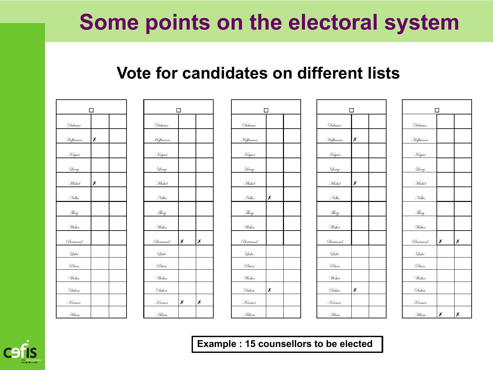#### **Vote for candidates on different lists**

| □                   |   |  |  |  |  |  |  |  |  |  |
|---------------------|---|--|--|--|--|--|--|--|--|--|
| Delvaux             |   |  |  |  |  |  |  |  |  |  |
| Hoffmann            | X |  |  |  |  |  |  |  |  |  |
| Kayser              |   |  |  |  |  |  |  |  |  |  |
| $\mathcal{Q}_{ang}$ |   |  |  |  |  |  |  |  |  |  |
| Michel              | X |  |  |  |  |  |  |  |  |  |
| Nelles              |   |  |  |  |  |  |  |  |  |  |
| Thiry               |   |  |  |  |  |  |  |  |  |  |
| Wetter              |   |  |  |  |  |  |  |  |  |  |
| Bertrand            |   |  |  |  |  |  |  |  |  |  |
| Lahr                |   |  |  |  |  |  |  |  |  |  |
| Peters              |   |  |  |  |  |  |  |  |  |  |
| Wolter              |   |  |  |  |  |  |  |  |  |  |
| Dubois              |   |  |  |  |  |  |  |  |  |  |
| Kremer              |   |  |  |  |  |  |  |  |  |  |
| Gdam                |   |  |  |  |  |  |  |  |  |  |

|               | П |   |
|---------------|---|---|
| Delvaux       |   |   |
| Hoffmann      |   |   |
| <u>Kayser</u> |   |   |
| Lang          |   |   |
| Michel        |   |   |
| Nelles        |   |   |
| Thiry         |   |   |
| Wetter        |   |   |
| Bertrand      | X | X |
| Lahr          |   |   |
| Peters        |   |   |
| Wolter        |   |   |
| Dubois        |   |   |
| Kremer        | Х | Х |
| Gdam          |   |   |

| $\Box$   |   |  | $\Box$ |          |   | $\Box$           |          |   | $\Box$ |              |   | $\Box$ |               |   |              |
|----------|---|--|--------|----------|---|------------------|----------|---|--------|--------------|---|--------|---------------|---|--------------|
| Delvaux  |   |  |        | Delvaux  |   |                  | Delvaux  |   |        | Delvaux      |   |        | Delvaux       |   |              |
| Hoffmann | Х |  |        | Hoffmann |   |                  | Hoffmann |   |        | Hoffmann     | Х |        | Hoffmann      |   |              |
| Kayser   |   |  |        | Kayser   |   |                  | Kayser   |   |        | Kayser       |   |        | Kayser        |   |              |
| Lang     |   |  |        | Lang     |   |                  | Lang     |   |        | Lang         |   |        | Lang          |   |              |
| Michel   | X |  |        | Michel   |   |                  | Michel   |   |        | Michel       | Х |        | Michel        |   |              |
| Nelles   |   |  |        | Nelles   |   |                  | Nelles   | X |        | Nelles       |   |        | Nelles        |   |              |
| Thiry    |   |  |        | Thiry    |   |                  | Thiry    |   |        | Thiry        |   |        | Thiry         |   |              |
| Welter   |   |  |        | Wetter   |   |                  | Welter   |   |        | Welter       |   |        | Welter        |   |              |
| Bertrand |   |  |        | Bertrand | Х | $\boldsymbol{x}$ | Bertrand |   |        | Bertrand     |   |        | Bertrand      | X | x            |
| Lahr     |   |  |        | Lahr     |   |                  | Lahr     |   |        | Lahr         |   |        | Lahr          |   |              |
| Peters   |   |  |        | Peters   |   |                  | Peters   |   |        | Peters       |   |        | Peters        |   |              |
| Wolter   |   |  |        | Wolter   |   |                  | Wolter   |   |        | Wolter       |   |        | Wolter        |   |              |
| Dubois   |   |  |        | Dubois   |   |                  | Dubois   | Х |        | Dubois       | Х |        | Dubois        |   |              |
| Kremer   |   |  |        | Kremer   | Х | X                | Kremer   |   |        | Kremer       |   |        | Kremer        |   |              |
| Gdam     |   |  |        | Gdam     |   |                  | Gdam     |   |        | <i>A</i> dam |   |        | <i>Fi</i> dam | Х | $\pmb{\chi}$ |

|          | П |  |
|----------|---|--|
| Delvaux  |   |  |
| Hoffmann | X |  |
| Kayser   |   |  |
| Dang     |   |  |
| Michel   | X |  |
| Nelles   |   |  |
| Thiry    |   |  |
| Welter   |   |  |
| Bertrand |   |  |
| Lahr     |   |  |
| Peters   |   |  |
| Wolter   |   |  |
| Dubois   | X |  |
| Kremer   |   |  |
| Gdam     |   |  |

| г<br>$\overline{\phantom{a}}$ |   |   |  |  |  |
|-------------------------------|---|---|--|--|--|
| Delvaux                       |   |   |  |  |  |
| Hoffmann                      |   |   |  |  |  |
| Kayser                        |   |   |  |  |  |
| Qang                          |   |   |  |  |  |
| Michel                        |   |   |  |  |  |
| Nelles                        |   |   |  |  |  |
| Thiry                         |   |   |  |  |  |
| Welter                        |   |   |  |  |  |
| Bertrand                      | X | X |  |  |  |
| Lahr                          |   |   |  |  |  |
| Peters                        |   |   |  |  |  |
| Wolter                        |   |   |  |  |  |
| Dubois                        |   |   |  |  |  |
| Kremer                        |   |   |  |  |  |
| Gdam                          | X | X |  |  |  |

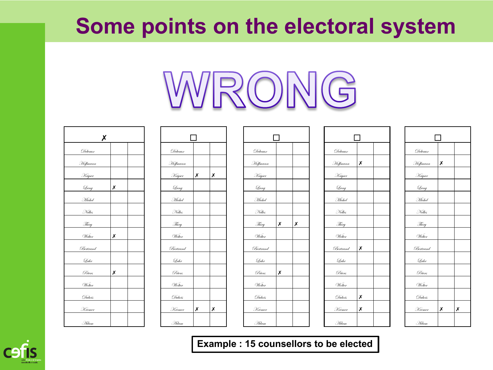

| Х        |   |  |
|----------|---|--|
| Delvaux  |   |  |
| Hoffmann |   |  |
| Kayser   |   |  |
| Qang     | X |  |
| Michel   |   |  |
| Nelles   |   |  |
| Thiry    |   |  |
| Welter   | X |  |
| Bertrand |   |  |
| Lahr     |   |  |
| Peters   | Х |  |
| Wolter   |   |  |
| Dubois   |   |  |
| Kremer   |   |  |
| . Gdam   |   |  |

| $\pmb{\mathsf{X}}$ |   |  |              |   |   |          |   |                  |                                 |   |  |          |   |                |
|--------------------|---|--|--------------|---|---|----------|---|------------------|---------------------------------|---|--|----------|---|----------------|
| Delvaux            |   |  | Delvaux      |   |   | Delvaux  |   |                  | Delvaux                         |   |  | Delvaux  |   |                |
| Hoffmann           |   |  | Hoffmann     |   |   | Hoffmann |   |                  | Hoffm <u>ann</u>                | Х |  | Hoffmann | Х |                |
| Kayser             |   |  | Kayser       | Х | Х | Kayser   |   |                  | Kayser                          |   |  | Kayser   |   |                |
| Qang               | Х |  | Lang         |   |   | Qang     |   |                  | Lang                            |   |  | Lang     |   |                |
| Michel             |   |  | Michel       |   |   | Michel   |   |                  | Michel                          |   |  | Michel   |   |                |
| Nelles             |   |  | Nelles       |   |   | Nelles   |   |                  | Nelles                          |   |  | Nelles   |   |                |
| Thiry              |   |  | Thiry        |   |   | Thiry    | X | $\boldsymbol{x}$ | Thiry                           |   |  | Thiry    |   |                |
| Welter             | Х |  | Welter       |   |   | Welter   |   |                  | Wetter                          |   |  | Welter   |   |                |
| Bertrand           |   |  | Bertrand     |   |   | Bertrand |   |                  | $\mathcal{B}\!\mathit{ertrand}$ | X |  | Bertrand |   |                |
| Lahr               |   |  | Lahr         |   |   | Lahr     |   |                  | Lahr                            |   |  | Lahr     |   |                |
| Peters             | X |  | Peters       |   |   | Peters   | X |                  | Peters                          |   |  | Peters   |   |                |
| Wolter             |   |  | Wolter       |   |   | Wolter   |   |                  | Wolter                          |   |  | Wolter   |   |                |
| Dubois             |   |  | Dubois       |   |   | Dubois   |   |                  | Dubois                          | Х |  | Dubois   |   |                |
| Kremer             |   |  | Kremer       | Х | Х | Kremer   |   |                  | Kremer                          | Х |  | Kremer   | x | $\pmb{\times}$ |
| Gdam               |   |  | <i>A</i> dam |   |   | Gdam     |   |                  | .<br>Hdam                       |   |  | Gdam     |   |                |

| ΙI                         |   |   |  |  |  |
|----------------------------|---|---|--|--|--|
| Delvaux                    |   |   |  |  |  |
| Hoffmann                   |   |   |  |  |  |
| Kayser                     |   |   |  |  |  |
| $\underline{{\mathcal Q}}$ |   |   |  |  |  |
| Michel                     |   |   |  |  |  |
| Melles                     |   |   |  |  |  |
| Thiry                      | X | X |  |  |  |
| Welter                     |   |   |  |  |  |
| Bertrand                   |   |   |  |  |  |
| Lahr                       |   |   |  |  |  |
| Peters                     | X |   |  |  |  |
| Wolter                     |   |   |  |  |  |
| Dubois                     |   |   |  |  |  |
| Kremer                     |   |   |  |  |  |
| . Ildam                    |   |   |  |  |  |

| П        |                     |  |  |  |  |
|----------|---------------------|--|--|--|--|
| Delvaux  |                     |  |  |  |  |
| Hoffmann | Х                   |  |  |  |  |
| Kayser   |                     |  |  |  |  |
| Qang     |                     |  |  |  |  |
| Michel   |                     |  |  |  |  |
| Nelles   |                     |  |  |  |  |
| Thiry    |                     |  |  |  |  |
| Welter   |                     |  |  |  |  |
| Bertrand | X                   |  |  |  |  |
| Lahr     |                     |  |  |  |  |
| Peters   |                     |  |  |  |  |
| Wolter   |                     |  |  |  |  |
| Dubois   | $\frac{\chi}{\chi}$ |  |  |  |  |
| Kremer   | X                   |  |  |  |  |
| Gdam     |                     |  |  |  |  |

| $\mathbf{L}$ |   |   |  |  |
|--------------|---|---|--|--|
| Delvaux      |   |   |  |  |
| Hoffmann     | Х |   |  |  |
| Kayser       |   |   |  |  |
| Qang         |   |   |  |  |
| Michel       |   |   |  |  |
| Melles       |   |   |  |  |
| Thiry        |   |   |  |  |
| Welter       |   |   |  |  |
| Bertrand     |   |   |  |  |
| Lahr         |   |   |  |  |
| Peters       |   |   |  |  |
| Wolter       |   |   |  |  |
| Dubois       |   |   |  |  |
| Kremer       | Х | X |  |  |
| Gdam         |   |   |  |  |

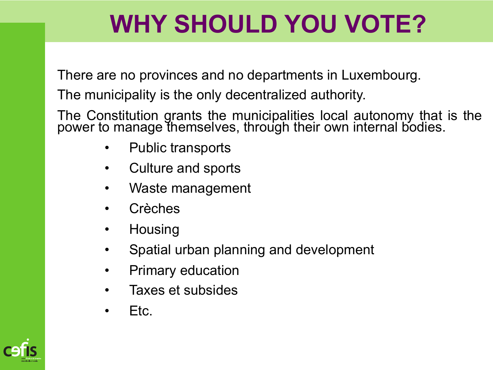# **WHY SHOULD YOU VOTE?**

There are no provinces and no departments in Luxembourg.

The municipality is the only decentralized authority.

The Constitution grants the municipalities local autonomy that is the power to manage themselves, through their own internal bodies.

- Public transports
- Culture and sports
- Waste management
- **Crèches**
- Housing
- Spatial urban planning and development
- Primary education
- Taxes et subsides
- Etc.